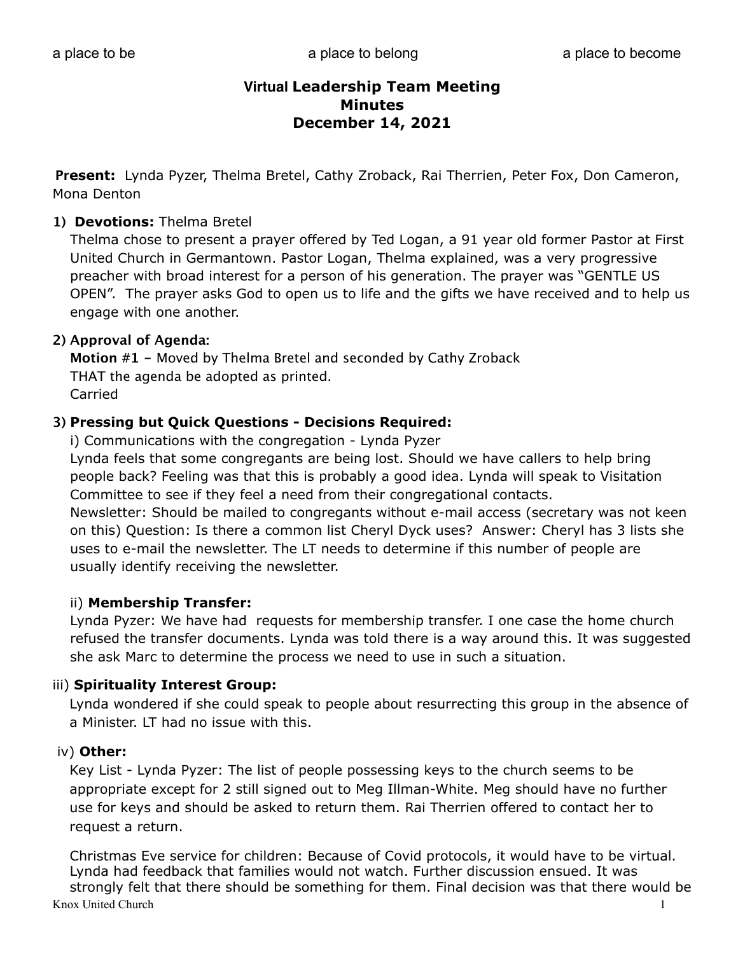**Present:** Lynda Pyzer, Thelma Bretel, Cathy Zroback, Rai Therrien, Peter Fox, Don Cameron, Mona Denton

#### **1) Devotions:** Thelma Bretel

Thelma chose to present a prayer offered by Ted Logan, a 91 year old former Pastor at First United Church in Germantown. Pastor Logan, Thelma explained, was a very progressive preacher with broad interest for a person of his generation. The prayer was "GENTLE US OPEN". The prayer asks God to open us to life and the gifts we have received and to help us engage with one another.

#### **2) Approval of Agenda:**

**Motion #1 -** Moved by Thelma Bretel and seconded by Cathy Zroback THAT the agenda be adopted as printed. Carried

#### **3) Pressing but Quick Questions - Decisions Required:**

i) Communications with the congregation - Lynda Pyzer

Lynda feels that some congregants are being lost. Should we have callers to help bring people back? Feeling was that this is probably a good idea. Lynda will speak to Visitation Committee to see if they feel a need from their congregational contacts.

Newsletter: Should be mailed to congregants without e-mail access (secretary was not keen on this) Question: Is there a common list Cheryl Dyck uses? Answer: Cheryl has 3 lists she uses to e-mail the newsletter. The LT needs to determine if this number of people are usually identify receiving the newsletter.

#### ii) **Membership Transfer:**

Lynda Pyzer: We have had requests for membership transfer. I one case the home church refused the transfer documents. Lynda was told there is a way around this. It was suggested she ask Marc to determine the process we need to use in such a situation.

#### iii) **Spirituality Interest Group:**

Lynda wondered if she could speak to people about resurrecting this group in the absence of a Minister. LT had no issue with this.

#### iv) **Other:**

 Key List - Lynda Pyzer: The list of people possessing keys to the church seems to be appropriate except for 2 still signed out to Meg Illman-White. Meg should have no further use for keys and should be asked to return them. Rai Therrien offered to contact her to request a return.

 Christmas Eve service for children: Because of Covid protocols, it would have to be virtual. Lynda had feedback that families would not watch. Further discussion ensued. It was strongly felt that there should be something for them. Final decision was that there would be Knox United Church 1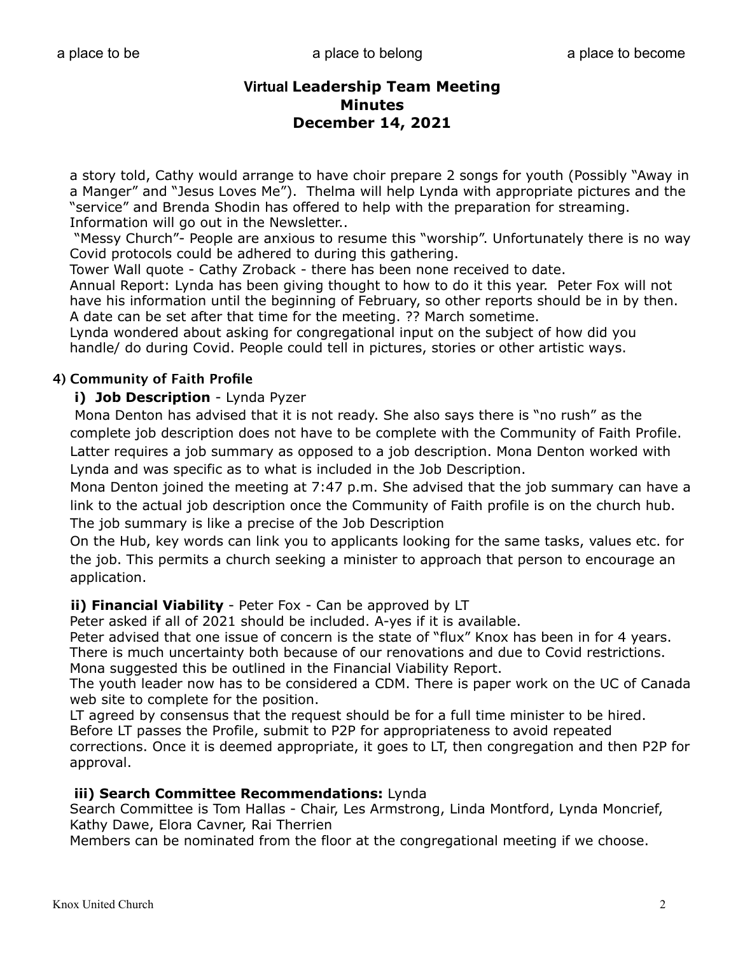a story told, Cathy would arrange to have choir prepare 2 songs for youth (Possibly "Away in a Manger" and "Jesus Loves Me"). Thelma will help Lynda with appropriate pictures and the "service" and Brenda Shodin has offered to help with the preparation for streaming. Information will go out in the Newsletter..

 "Messy Church"- People are anxious to resume this "worship". Unfortunately there is no way Covid protocols could be adhered to during this gathering.

Tower Wall quote - Cathy Zroback - there has been none received to date.

 Annual Report: Lynda has been giving thought to how to do it this year. Peter Fox will not have his information until the beginning of February, so other reports should be in by then. A date can be set after that time for the meeting. ?? March sometime.

 Lynda wondered about asking for congregational input on the subject of how did you handle/ do during Covid. People could tell in pictures, stories or other artistic ways.

### **4) Community of Faith Profile**

#### **i) Job Description** - Lynda Pyzer

 Mona Denton has advised that it is not ready. She also says there is "no rush" as the complete job description does not have to be complete with the Community of Faith Profile. Latter requires a job summary as opposed to a job description. Mona Denton worked with Lynda and was specific as to what is included in the Job Description.

Mona Denton joined the meeting at 7:47 p.m. She advised that the job summary can have a link to the actual job description once the Community of Faith profile is on the church hub. The job summary is like a precise of the Job Description

On the Hub, key words can link you to applicants looking for the same tasks, values etc. for the job. This permits a church seeking a minister to approach that person to encourage an application.

#### **ii) Financial Viability** - Peter Fox - Can be approved by LT

Peter asked if all of 2021 should be included. A-yes if it is available.

 Peter advised that one issue of concern is the state of "flux" Knox has been in for 4 years. There is much uncertainty both because of our renovations and due to Covid restrictions. Mona suggested this be outlined in the Financial Viability Report.

 The youth leader now has to be considered a CDM. There is paper work on the UC of Canada web site to complete for the position.

 LT agreed by consensus that the request should be for a full time minister to be hired. Before LT passes the Profile, submit to P2P for appropriateness to avoid repeated

 corrections. Once it is deemed appropriate, it goes to LT, then congregation and then P2P for approval.

#### **iii) Search Committee Recommendations:** Lynda

 Search Committee is Tom Hallas - Chair, Les Armstrong, Linda Montford, Lynda Moncrief, Kathy Dawe, Elora Cavner, Rai Therrien

Members can be nominated from the floor at the congregational meeting if we choose.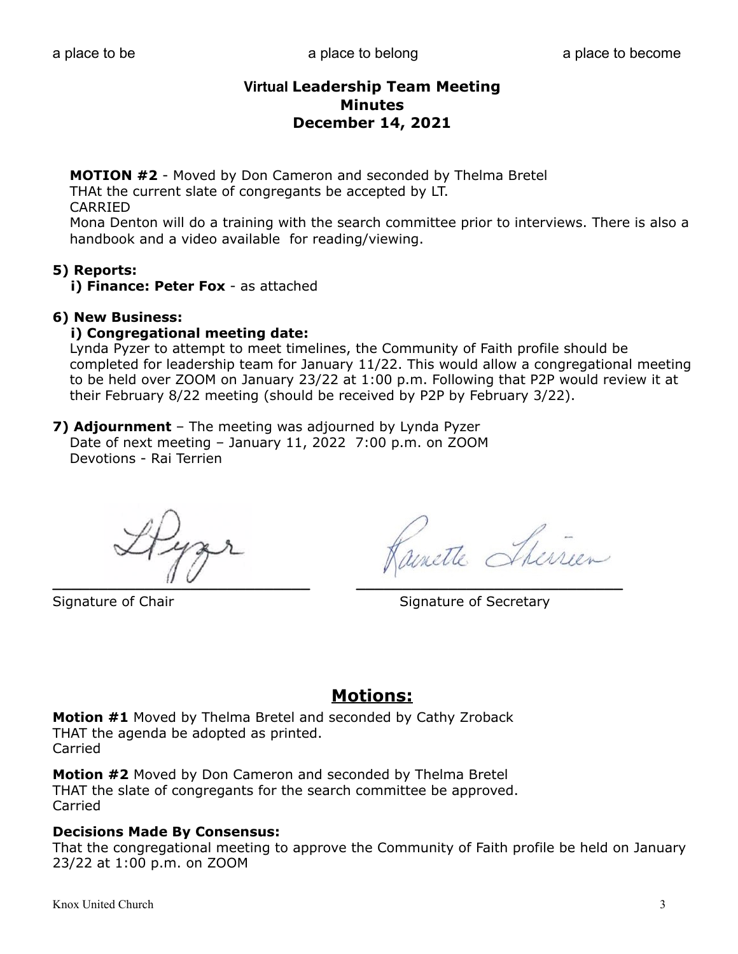**MOTION #2** - Moved by Don Cameron and seconded by Thelma Bretel THAt the current slate of congregants be accepted by LT. CARRIED

Mona Denton will do a training with the search committee prior to interviews. There is also a handbook and a video available for reading/viewing.

#### **5) Reports:**

 **i) Finance: Peter Fox** - as attached

#### **6) New Business:**

#### **i) Congregational meeting date:**

 Lynda Pyzer to attempt to meet timelines, the Community of Faith profile should be completed for leadership team for January 11/22. This would allow a congregational meeting to be held over ZOOM on January 23/22 at 1:00 p.m. Following that P2P would review it at their February 8/22 meeting (should be received by P2P by February 3/22).

**7) Adjournment** – The meeting was adjourned by Lynda Pyzer Date of next meeting – January 11, 2022 7:00 p.m. on ZOOM Devotions - Rai Terrien

 $\mathbf{u} \mathbf{v}$ 

Signature of Chair Signature of Secretary

# **Motions:**

**Motion #1** Moved by Thelma Bretel and seconded by Cathy Zroback THAT the agenda be adopted as printed. Carried

**Motion #2** Moved by Don Cameron and seconded by Thelma Bretel THAT the slate of congregants for the search committee be approved. Carried

#### **Decisions Made By Consensus:**

That the congregational meeting to approve the Community of Faith profile be held on January 23/22 at 1:00 p.m. on ZOOM